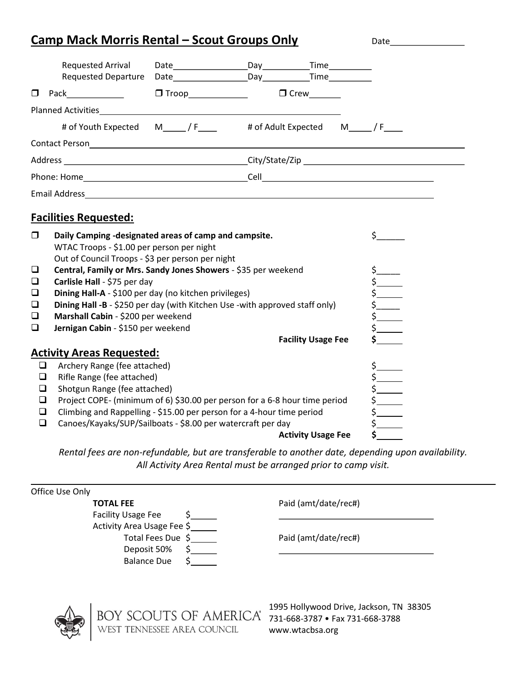## Camp Mack Morris Rental – Scout Groups Only Date

|                                                                                                                                                                                                                                | Requested Arrival<br><b>Requested Departure</b> |                                                                         |  |             |  |  |  |
|--------------------------------------------------------------------------------------------------------------------------------------------------------------------------------------------------------------------------------|-------------------------------------------------|-------------------------------------------------------------------------|--|-------------|--|--|--|
|                                                                                                                                                                                                                                |                                                 |                                                                         |  | $\Box$ Crew |  |  |  |
| Planned Activities <b>Plannel Activities</b>                                                                                                                                                                                   |                                                 |                                                                         |  |             |  |  |  |
|                                                                                                                                                                                                                                |                                                 | # of Youth Expected M______/ F_____ # of Adult Expected M______/ F_____ |  |             |  |  |  |
|                                                                                                                                                                                                                                |                                                 |                                                                         |  |             |  |  |  |
| Address example and the control of the control of the control of the control of the control of the control of the control of the control of the control of the control of the control of the control of the control of the con |                                                 |                                                                         |  |             |  |  |  |
| Phone: Home and the contract of the contract of the contract of the contract of the contract of the contract of the contract of the contract of the contract of the contract of the contract of the contract of the contract o |                                                 |                                                                         |  |             |  |  |  |
|                                                                                                                                                                                                                                |                                                 |                                                                         |  |             |  |  |  |
| <b>Facilities Requested:</b>                                                                                                                                                                                                   |                                                 |                                                                         |  |             |  |  |  |

| $\Box$   | Daily Camping -designated areas of camp and campsite.<br>WTAC Troops - \$1.00 per person per night<br>Out of Council Troops - \$3 per person per night |  |
|----------|--------------------------------------------------------------------------------------------------------------------------------------------------------|--|
| □        | Central, Family or Mrs. Sandy Jones Showers - \$35 per weekend                                                                                         |  |
| $\Box$   | Carlisle Hall - \$75 per day                                                                                                                           |  |
| $\Box$   | Dining Hall-A - \$100 per day (no kitchen privileges)                                                                                                  |  |
| $\Box$   | Dining Hall -B - \$250 per day (with Kitchen Use -with approved staff only)                                                                            |  |
| $\Box$   | Marshall Cabin - \$200 per weekend                                                                                                                     |  |
| $\Box$   | Jernigan Cabin - \$150 per weekend                                                                                                                     |  |
|          | <b>Facility Usage Fee</b>                                                                                                                              |  |
|          | <b>Activity Areas Requested:</b>                                                                                                                       |  |
| $\sqcup$ | Archery Range (fee attached)                                                                                                                           |  |
|          | Rifle Range (fee attached)                                                                                                                             |  |
|          | Shotgun Range (fee attached)                                                                                                                           |  |
| ப        | Project COPE- (minimum of 6) \$30.00 per person for a 6-8 hour time period                                                                             |  |
| □        | Climbing and Rappelling - \$15.00 per person for a 4-hour time period                                                                                  |  |
| ப        | Canoes/Kayaks/SUP/Sailboats - \$8.00 per watercraft per day                                                                                            |  |
|          | <b>Activity Usage Fee</b>                                                                                                                              |  |

Rental fees are non-refundable, but are transferable to another date, depending upon availability. All Activity Area Rental must be arranged prior to camp visit.

| Office Use Only |                             |  |                                         |  |
|-----------------|-----------------------------|--|-----------------------------------------|--|
|                 | <b>TOTAL FEE</b>            |  | Paid (amt/date/rec#)                    |  |
|                 | <b>Facility Usage Fee</b>   |  |                                         |  |
|                 | Activity Area Usage Fee \$  |  |                                         |  |
|                 | Total Fees Due \$           |  | Paid (amt/date/rec#)                    |  |
|                 | Deposit 50%                 |  |                                         |  |
|                 | <b>Balance Due</b>          |  |                                         |  |
|                 |                             |  |                                         |  |
|                 |                             |  |                                         |  |
|                 |                             |  | 1995 Hollywood Drive, Jackson, TN 38305 |  |
|                 | BOY SCOUTS OF AMERICA®      |  | 731-668-3787 • Fax 731-668-3788         |  |
|                 | WEST TENNESSEE AREA COUNCIL |  | www.wtacbsa.org                         |  |